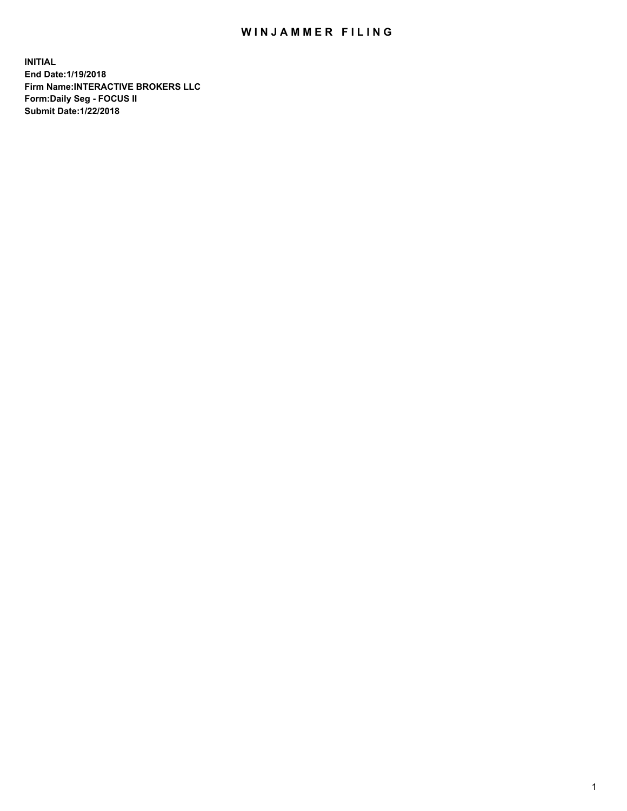## WIN JAMMER FILING

**INITIAL End Date:1/19/2018 Firm Name:INTERACTIVE BROKERS LLC Form:Daily Seg - FOCUS II Submit Date:1/22/2018**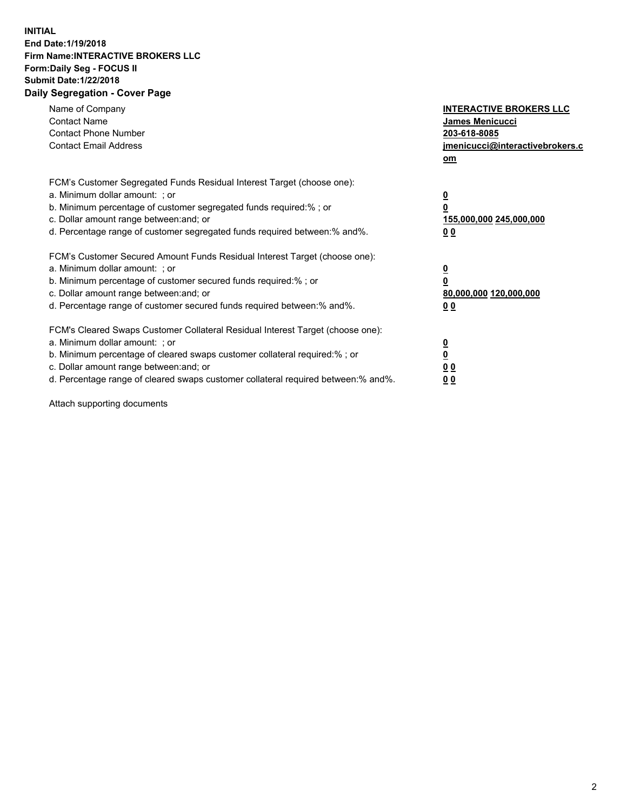## **INITIAL End Date:1/19/2018 Firm Name:INTERACTIVE BROKERS LLC Form:Daily Seg - FOCUS II Submit Date:1/22/2018 Daily Segregation - Cover Page**

| Name of Company<br><b>Contact Name</b><br><b>Contact Phone Number</b>                                                                                                                                                                                                                                                          | <b>INTERACTIVE BROKERS LLC</b><br><b>James Menicucci</b><br>203-618-8085                        |
|--------------------------------------------------------------------------------------------------------------------------------------------------------------------------------------------------------------------------------------------------------------------------------------------------------------------------------|-------------------------------------------------------------------------------------------------|
| <b>Contact Email Address</b>                                                                                                                                                                                                                                                                                                   | jmenicucci@interactivebrokers.c<br>om                                                           |
| FCM's Customer Segregated Funds Residual Interest Target (choose one):<br>a. Minimum dollar amount: ; or<br>b. Minimum percentage of customer segregated funds required:% ; or<br>c. Dollar amount range between: and; or<br>d. Percentage range of customer segregated funds required between:% and%.                         | $\overline{\mathbf{0}}$<br>$\overline{\mathbf{0}}$<br>155,000,000 245,000,000<br>0 <sub>0</sub> |
| FCM's Customer Secured Amount Funds Residual Interest Target (choose one):<br>a. Minimum dollar amount: ; or<br>b. Minimum percentage of customer secured funds required:%; or<br>c. Dollar amount range between: and; or<br>d. Percentage range of customer secured funds required between: % and %.                          | $\overline{\mathbf{0}}$<br>$\overline{\mathbf{0}}$<br>80,000,000 120,000,000<br>0 <sub>0</sub>  |
| FCM's Cleared Swaps Customer Collateral Residual Interest Target (choose one):<br>a. Minimum dollar amount: ; or<br>b. Minimum percentage of cleared swaps customer collateral required:% ; or<br>c. Dollar amount range between: and; or<br>d. Percentage range of cleared swaps customer collateral required between:% and%. | $\overline{\mathbf{0}}$<br>$\underline{\mathbf{0}}$<br>0 <sub>0</sub><br>0 <sup>0</sup>         |

Attach supporting documents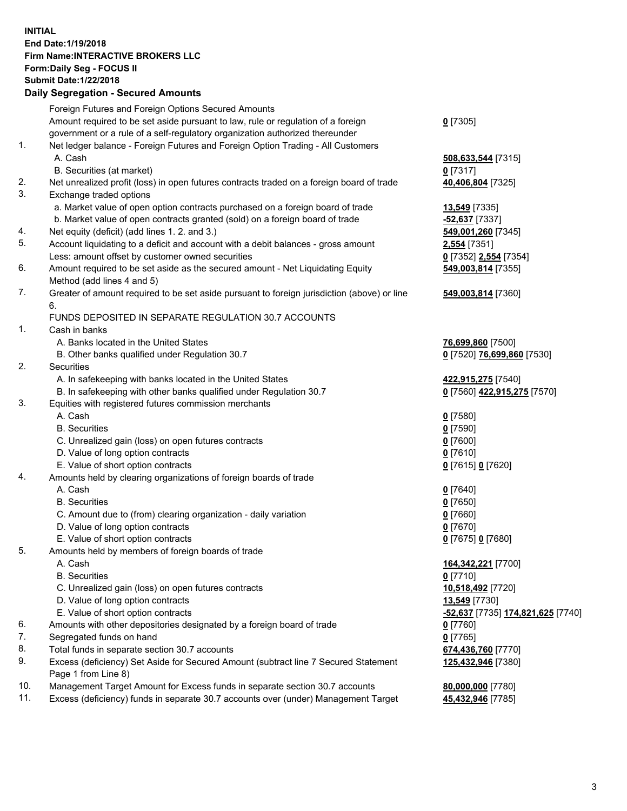## **INITIAL End Date:1/19/2018 Firm Name:INTERACTIVE BROKERS LLC Form:Daily Seg - FOCUS II Submit Date:1/22/2018 Daily Segregation - Secured Amounts**

|     | Daily Segregation - Secured Amounts                                                                        |                                   |
|-----|------------------------------------------------------------------------------------------------------------|-----------------------------------|
|     | Foreign Futures and Foreign Options Secured Amounts                                                        |                                   |
|     | Amount required to be set aside pursuant to law, rule or regulation of a foreign                           | $0$ [7305]                        |
|     | government or a rule of a self-regulatory organization authorized thereunder                               |                                   |
| 1.  | Net ledger balance - Foreign Futures and Foreign Option Trading - All Customers                            |                                   |
|     | A. Cash                                                                                                    | 508,633,544 [7315]                |
|     | B. Securities (at market)                                                                                  | $0$ [7317]                        |
| 2.  | Net unrealized profit (loss) in open futures contracts traded on a foreign board of trade                  | 40,406,804 [7325]                 |
| 3.  | Exchange traded options                                                                                    |                                   |
|     | a. Market value of open option contracts purchased on a foreign board of trade                             | 13,549 [7335]                     |
|     | b. Market value of open contracts granted (sold) on a foreign board of trade                               | -52,637 [7337]                    |
| 4.  | Net equity (deficit) (add lines 1.2. and 3.)                                                               | 549,001,260 [7345]                |
| 5.  | Account liquidating to a deficit and account with a debit balances - gross amount                          | 2,554 [7351]                      |
|     | Less: amount offset by customer owned securities                                                           | 0 [7352] 2,554 [7354]             |
| 6.  | Amount required to be set aside as the secured amount - Net Liquidating Equity                             | 549,003,814 [7355]                |
|     | Method (add lines 4 and 5)                                                                                 |                                   |
| 7.  | Greater of amount required to be set aside pursuant to foreign jurisdiction (above) or line                | 549,003,814 [7360]                |
|     | 6.                                                                                                         |                                   |
|     | FUNDS DEPOSITED IN SEPARATE REGULATION 30.7 ACCOUNTS                                                       |                                   |
| 1.  | Cash in banks                                                                                              |                                   |
|     | A. Banks located in the United States                                                                      | 76,699,860 [7500]                 |
|     | B. Other banks qualified under Regulation 30.7                                                             | 0 [7520] 76,699,860 [7530]        |
| 2.  | Securities                                                                                                 |                                   |
|     | A. In safekeeping with banks located in the United States                                                  | 422,915,275 [7540]                |
|     | B. In safekeeping with other banks qualified under Regulation 30.7                                         | 0 [7560] 422,915,275 [7570]       |
| 3.  | Equities with registered futures commission merchants                                                      |                                   |
|     | A. Cash                                                                                                    | $0$ [7580]                        |
|     | <b>B.</b> Securities                                                                                       | $0$ [7590]                        |
|     | C. Unrealized gain (loss) on open futures contracts                                                        | $0$ [7600]                        |
|     | D. Value of long option contracts                                                                          | $0$ [7610]                        |
|     | E. Value of short option contracts                                                                         | 0 [7615] 0 [7620]                 |
| 4.  | Amounts held by clearing organizations of foreign boards of trade                                          |                                   |
|     | A. Cash                                                                                                    | $0$ [7640]                        |
|     | <b>B.</b> Securities                                                                                       | $0$ [7650]                        |
|     | C. Amount due to (from) clearing organization - daily variation                                            | $0$ [7660]                        |
|     | D. Value of long option contracts                                                                          | $0$ [7670]                        |
|     | E. Value of short option contracts                                                                         | 0 [7675] 0 [7680]                 |
| 5.  | Amounts held by members of foreign boards of trade                                                         |                                   |
|     | A. Cash                                                                                                    | 164, 342, 221 [7700]              |
|     | <b>B.</b> Securities                                                                                       | $0$ [7710]                        |
|     | C. Unrealized gain (loss) on open futures contracts                                                        | 10,518,492 [7720]                 |
|     | D. Value of long option contracts                                                                          | <b>13,549</b> [7730]              |
|     | E. Value of short option contracts                                                                         | -52,637 [7735] 174,821,625 [7740] |
| 6.  | Amounts with other depositories designated by a foreign board of trade                                     | $0$ [7760]                        |
| 7.  | Segregated funds on hand                                                                                   | $0$ [7765]                        |
| 8.  | Total funds in separate section 30.7 accounts                                                              | 674,436,760 [7770]                |
| 9.  | Excess (deficiency) Set Aside for Secured Amount (subtract line 7 Secured Statement<br>Page 1 from Line 8) | 125,432,946 [7380]                |
| 10. | Management Target Amount for Excess funds in separate section 30.7 accounts                                | 80,000,000 [7780]                 |
| 11. | Excess (deficiency) funds in separate 30.7 accounts over (under) Management Target                         | 45,432,946 [7785]                 |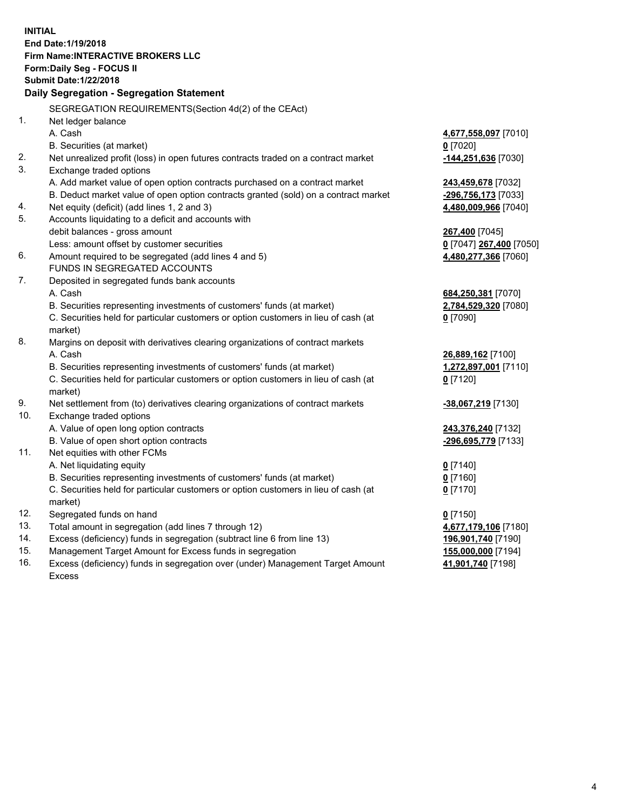**INITIAL End Date:1/19/2018 Firm Name:INTERACTIVE BROKERS LLC Form:Daily Seg - FOCUS II Submit Date:1/22/2018 Daily Segregation - Segregation Statement** SEGREGATION REQUIREMENTS(Section 4d(2) of the CEAct) 1. Net ledger balance A. Cash **4,677,558,097** [7010] B. Securities (at market) **0** [7020] 2. Net unrealized profit (loss) in open futures contracts traded on a contract market **-144,251,636** [7030] 3. Exchange traded options A. Add market value of open option contracts purchased on a contract market **243,459,678** [7032] B. Deduct market value of open option contracts granted (sold) on a contract market **-296,756,173** [7033] 4. Net equity (deficit) (add lines 1, 2 and 3) **4,480,009,966** [7040] 5. Accounts liquidating to a deficit and accounts with debit balances - gross amount **267,400** [7045] Less: amount offset by customer securities **0** [7047] **267,400** [7050] 6. Amount required to be segregated (add lines 4 and 5) **4,480,277,366** [7060] FUNDS IN SEGREGATED ACCOUNTS 7. Deposited in segregated funds bank accounts A. Cash **684,250,381** [7070] B. Securities representing investments of customers' funds (at market) **2,784,529,320** [7080] C. Securities held for particular customers or option customers in lieu of cash (at market) **0** [7090] 8. Margins on deposit with derivatives clearing organizations of contract markets A. Cash **26,889,162** [7100] B. Securities representing investments of customers' funds (at market) **1,272,897,001** [7110] C. Securities held for particular customers or option customers in lieu of cash (at market) **0** [7120] 9. Net settlement from (to) derivatives clearing organizations of contract markets **-38,067,219** [7130] 10. Exchange traded options A. Value of open long option contracts **243,376,240** [7132] B. Value of open short option contracts **-296,695,779** [7133] 11. Net equities with other FCMs A. Net liquidating equity **0** [7140] B. Securities representing investments of customers' funds (at market) **0** [7160] C. Securities held for particular customers or option customers in lieu of cash (at market) **0** [7170] 12. Segregated funds on hand **0** [7150] 13. Total amount in segregation (add lines 7 through 12) **4,677,179,106** [7180] 14. Excess (deficiency) funds in segregation (subtract line 6 from line 13) **196,901,740** [7190] 15. Management Target Amount for Excess funds in segregation **155,000,000** [7194]

16. Excess (deficiency) funds in segregation over (under) Management Target Amount Excess

**41,901,740** [7198]